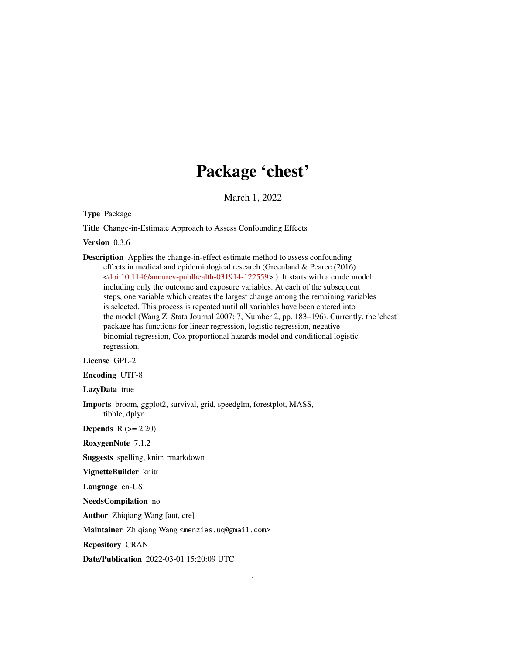# Package 'chest'

March 1, 2022

Type Package

Title Change-in-Estimate Approach to Assess Confounding Effects

Version 0.3.6

Description Applies the change-in-effect estimate method to assess confounding effects in medical and epidemiological research (Greenland & Pearce (2016) [<doi:10.1146/annurev-publhealth-031914-122559>](https://doi.org/10.1146/annurev-publhealth-031914-122559) ). It starts with a crude model including only the outcome and exposure variables. At each of the subsequent steps, one variable which creates the largest change among the remaining variables is selected. This process is repeated until all variables have been entered into the model (Wang Z. Stata Journal 2007; 7, Number 2, pp. 183–196). Currently, the 'chest' package has functions for linear regression, logistic regression, negative binomial regression, Cox proportional hazards model and conditional logistic regression.

License GPL-2

Encoding UTF-8

LazyData true

Imports broom, ggplot2, survival, grid, speedglm, forestplot, MASS, tibble, dplyr

Depends  $R (= 2.20)$ 

RoxygenNote 7.1.2

Suggests spelling, knitr, rmarkdown

VignetteBuilder knitr

Language en-US

NeedsCompilation no

Author Zhiqiang Wang [aut, cre]

Maintainer Zhiqiang Wang <menzies.uq@gmail.com>

Repository CRAN

Date/Publication 2022-03-01 15:20:09 UTC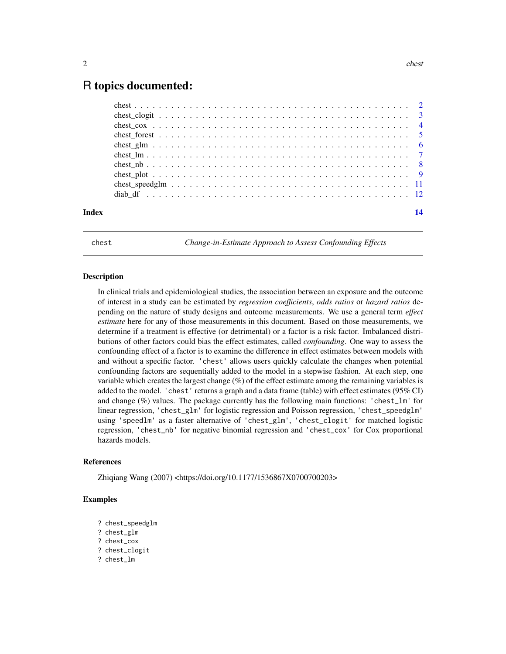# <span id="page-1-0"></span>R topics documented:

| Index |  |
|-------|--|

chest *Change-in-Estimate Approach to Assess Confounding Effects*

#### Description

In clinical trials and epidemiological studies, the association between an exposure and the outcome of interest in a study can be estimated by *regression coefficients*, *odds ratios* or *hazard ratios* depending on the nature of study designs and outcome measurements. We use a general term *effect estimate* here for any of those measurements in this document. Based on those measurements, we determine if a treatment is effective (or detrimental) or a factor is a risk factor. Imbalanced distributions of other factors could bias the effect estimates, called *confounding*. One way to assess the confounding effect of a factor is to examine the difference in effect estimates between models with and without a specific factor. 'chest' allows users quickly calculate the changes when potential confounding factors are sequentially added to the model in a stepwise fashion. At each step, one variable which creates the largest change (%) of the effect estimate among the remaining variables is added to the model. 'chest' returns a graph and a data frame (table) with effect estimates (95% CI) and change  $(\%)$  values. The package currently has the following main functions: 'chest\_lm' for linear regression, 'chest\_glm' for logistic regression and Poisson regression, 'chest\_speedglm' using 'speedlm' as a faster alternative of 'chest\_glm', 'chest\_clogit' for matched logistic regression, 'chest\_nb' for negative binomial regression and 'chest\_cox' for Cox proportional hazards models.

#### References

Zhiqiang Wang (2007) <https://doi.org/10.1177/1536867X0700700203>

#### Examples

- ? chest\_speedglm
- ? chest\_glm
- ? chest\_cox
- ? chest\_clogit
- ? chest\_lm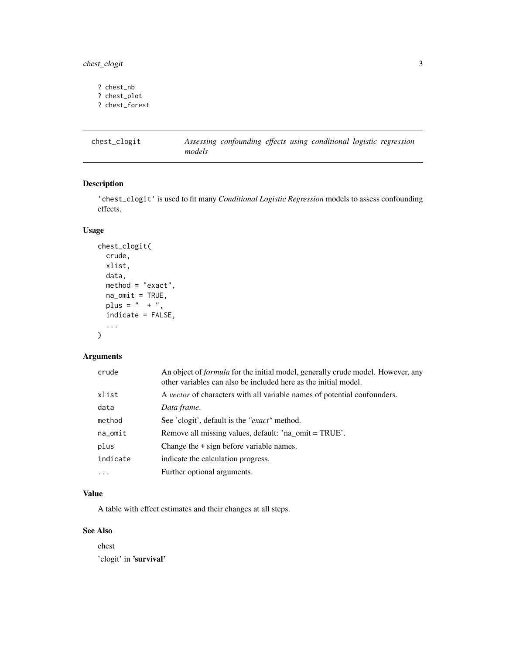<span id="page-2-0"></span>chest\_clogit 3

? chest\_nb ? chest\_plot ? chest\_forest

chest\_clogit *Assessing confounding effects using conditional logistic regression models*

# Description

'chest\_clogit' is used to fit many *Conditional Logistic Regression* models to assess confounding effects.

# Usage

```
chest_clogit(
  crude,
  xlist,
  data,
  method = "exact",
  na\_omit = TRUE,plus = " + ",
  indicate = FALSE,
  ...
\mathcal{L}
```
# Arguments

| crude    | An object of <i>formula</i> for the initial model, generally crude model. However, any<br>other variables can also be included here as the initial model. |
|----------|-----------------------------------------------------------------------------------------------------------------------------------------------------------|
| xlist    | A vector of characters with all variable names of potential confounders.                                                                                  |
| data     | Data frame.                                                                                                                                               |
| method   | See 'clogit', default is the " <i>exact</i> " method.                                                                                                     |
| na_omit  | Remove all missing values, default: 'na_omit = TRUE'.                                                                                                     |
| plus     | Change the + sign before variable names.                                                                                                                  |
| indicate | indicate the calculation progress.                                                                                                                        |
| $\ddots$ | Further optional arguments.                                                                                                                               |

# Value

A table with effect estimates and their changes at all steps.

## See Also

chest 'clogit' in 'survival'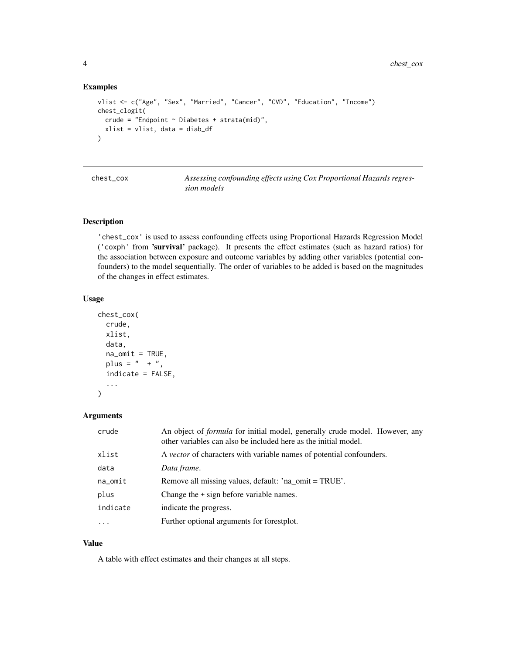4 chest\_cox

#### Examples

```
vlist <- c("Age", "Sex", "Married", "Cancer", "CVD", "Education", "Income")
chest_clogit(
  crude = "Endpoint ~Diabetes + strata(mid)",xlist = vlist, data = diab_df
)
```

| chest cox |
|-----------|
|-----------|

Assessing confounding effects using Cox Proportional Hazards regres*sion models*

#### Description

'chest\_cox' is used to assess confounding effects using Proportional Hazards Regression Model ('coxph' from 'survival' package). It presents the effect estimates (such as hazard ratios) for the association between exposure and outcome variables by adding other variables (potential confounders) to the model sequentially. The order of variables to be added is based on the magnitudes of the changes in effect estimates.

#### Usage

```
chest_cox(
 crude,
 xlist,
  data,
  na\_omit = TRUE,plus = " + ",
  indicate = FALSE,
  ...
)
```
#### Arguments

| crude      | An object of <i>formula</i> for initial model, generally crude model. However, any<br>other variables can also be included here as the initial model. |
|------------|-------------------------------------------------------------------------------------------------------------------------------------------------------|
| xlist      | A <i>vector</i> of characters with variable names of potential confounders.                                                                           |
| data       | Data frame.                                                                                                                                           |
| $na\_omit$ | Remove all missing values, default: 'na_omit = TRUE'.                                                                                                 |
| plus       | Change the $+$ sign before variable names.                                                                                                            |
| indicate   | indicate the progress.                                                                                                                                |
| $\cdots$   | Further optional arguments for forestplot.                                                                                                            |

# Value

A table with effect estimates and their changes at all steps.

<span id="page-3-0"></span>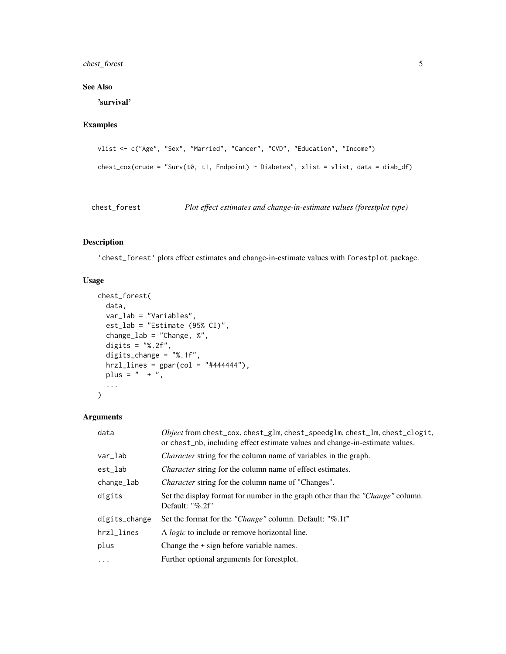# <span id="page-4-0"></span>chest\_forest 5

#### See Also

'survival'

# Examples

```
vlist <- c("Age", "Sex", "Married", "Cancer", "CVD", "Education", "Income")
check\_cov(crude = "Surv(t0, t1, Endpoint) \sim Diabetes", xlist = vlist, data = diab_df)
```
chest\_forest *Plot effect estimates and change-in-estimate values (forestplot type)*

#### Description

'chest\_forest' plots effect estimates and change-in-estimate values with forestplot package.

#### Usage

```
chest_forest(
 data,
 var_lab = "Variables",
 est_lab = "Estimate (95% CI)",
  change_lab = "Change, %",
 digits = "%.2f",digits_change = "%.1f",
 hrz1_lines = gpar(col = "#444444"),plus = " + ",...
\mathcal{L}
```
# Arguments

| data          | Object from chest_cox, chest_glm, chest_speedglm, chest_lm, chest_clogit,<br>or chest_nb, including effect estimate values and change-in-estimate values. |
|---------------|-----------------------------------------------------------------------------------------------------------------------------------------------------------|
| var_lab       | <i>Character</i> string for the column name of variables in the graph.                                                                                    |
| est_lab       | <i>Character</i> string for the column name of effect estimates.                                                                                          |
| change_lab    | <i>Character</i> string for the column name of "Changes".                                                                                                 |
| digits        | Set the display format for number in the graph other than the "Change" column.<br>Default: "%.2f"                                                         |
| digits_change | Set the format for the "Change" column. Default: "%.1f"                                                                                                   |
| hrzl_lines    | A <i>logic</i> to include or remove horizontal line.                                                                                                      |
| plus          | Change the $+$ sign before variable names.                                                                                                                |
| $\cdots$      | Further optional arguments for forestplot.                                                                                                                |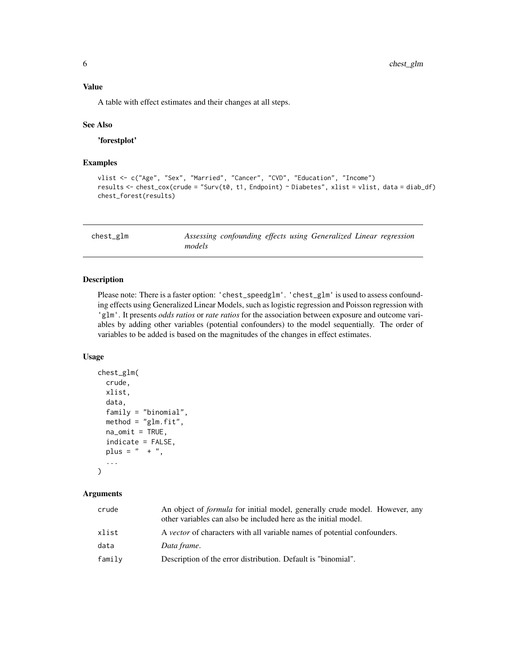<span id="page-5-0"></span>A table with effect estimates and their changes at all steps.

#### See Also

'forestplot'

# Examples

```
vlist <- c("Age", "Sex", "Married", "Cancer", "CVD", "Education", "Income")
results <- chest_cox(crude = "Surv(t0, t1, Endpoint) ~ Diabetes", xlist = vlist, data = diab_df)
chest_forest(results)
```

| chest_glm |        | Assessing confounding effects using Generalized Linear regression |  |  |  |
|-----------|--------|-------------------------------------------------------------------|--|--|--|
|           | models |                                                                   |  |  |  |

#### Description

Please note: There is a faster option: 'chest\_speedglm'. 'chest\_glm' is used to assess confounding effects using Generalized Linear Models, such as logistic regression and Poisson regression with 'glm'. It presents *odds ratios* or *rate ratios* for the association between exposure and outcome variables by adding other variables (potential confounders) to the model sequentially. The order of variables to be added is based on the magnitudes of the changes in effect estimates.

#### Usage

```
chest_glm(
  crude,
  xlist,
  data,
  family = "binomial",
 method = "glm.fit",na\_omit = TRUE,indicate = FALSE,
  plus = " + "...
)
```
#### Arguments

| An object of <i>formula</i> for initial model, generally crude model. However, any<br>other variables can also be included here as the initial model. |
|-------------------------------------------------------------------------------------------------------------------------------------------------------|
| A <i>vector</i> of characters with all variable names of potential confounders.                                                                       |
| Data frame.                                                                                                                                           |
| Description of the error distribution. Default is "binomial".                                                                                         |
|                                                                                                                                                       |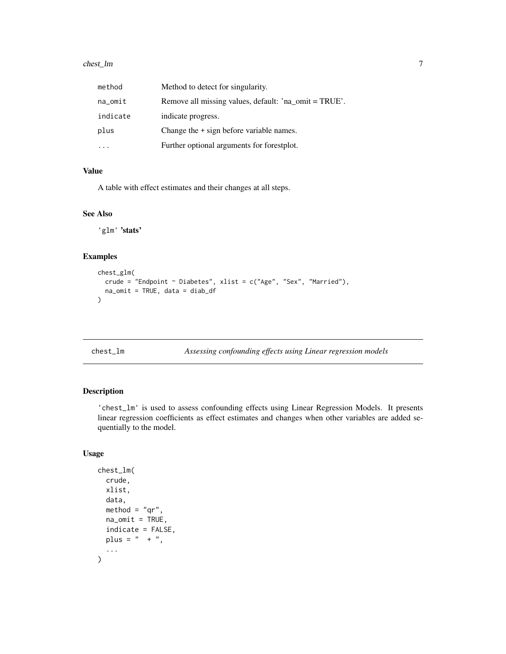#### <span id="page-6-0"></span>chest\_Im 7

| method     | Method to detect for singularity.                     |
|------------|-------------------------------------------------------|
| $na\_omit$ | Remove all missing values, default: 'na_omit = TRUE'. |
| indicate   | indicate progress.                                    |
| plus       | Change the + sign before variable names.              |
|            | Further optional arguments for forestplot.            |

#### Value

A table with effect estimates and their changes at all steps.

### See Also

'glm' 'stats'

# Examples

```
chest_glm(
  crude = "Endpoint ~ Diabetes", xlist = c("Age", "Sex", "Married"),
  na_omit = TRUE, data = diab_df
\mathcal{L}
```
chest\_lm *Assessing confounding effects using Linear regression models*

# Description

'chest\_lm' is used to assess confounding effects using Linear Regression Models. It presents linear regression coefficients as effect estimates and changes when other variables are added sequentially to the model.

# Usage

```
chest_lm(
  crude,
  xlist,
  data,
  method = "qr",na\_omit = TRUE,indicate = FALSE,
  plus = " + ",
  ...
\mathcal{E}
```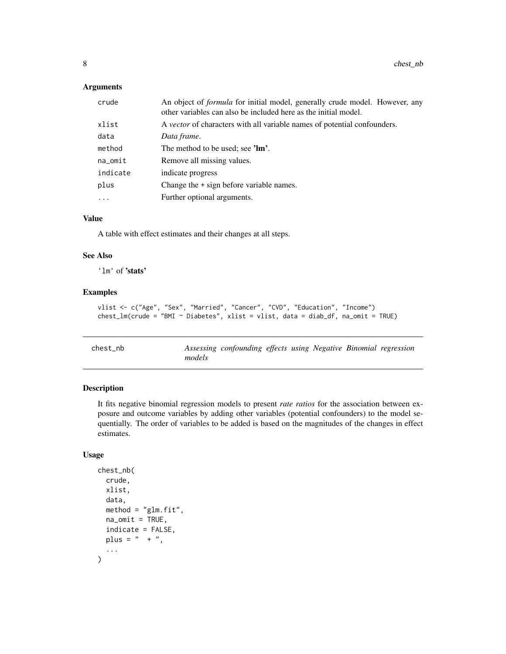# <span id="page-7-0"></span>Arguments

| crude    | An object of <i>formula</i> for initial model, generally crude model. However, any<br>other variables can also be included here as the initial model. |  |  |  |  |
|----------|-------------------------------------------------------------------------------------------------------------------------------------------------------|--|--|--|--|
| xlist    | A <i>vector</i> of characters with all variable names of potential confounders.                                                                       |  |  |  |  |
| data     | Data frame.                                                                                                                                           |  |  |  |  |
| method   | The method to be used; see 'lm'.                                                                                                                      |  |  |  |  |
| na_omit  | Remove all missing values.                                                                                                                            |  |  |  |  |
| indicate | indicate progress                                                                                                                                     |  |  |  |  |
| plus     | Change the + sign before variable names.                                                                                                              |  |  |  |  |
| $\cdots$ | Further optional arguments.                                                                                                                           |  |  |  |  |

### Value

A table with effect estimates and their changes at all steps.

# See Also

'lm' of 'stats'

#### Examples

```
vlist <- c("Age", "Sex", "Married", "Cancer", "CVD", "Education", "Income")
chest_lm(crude = "BMI ~ Diabetes", xlist = vlist, data = diab_df, na_omit = TRUE)
```

| chest nb |        | Assessing confounding effects using Negative Binomial regression |  |  |  |
|----------|--------|------------------------------------------------------------------|--|--|--|
|          | models |                                                                  |  |  |  |

# Description

It fits negative binomial regression models to present *rate ratios* for the association between exposure and outcome variables by adding other variables (potential confounders) to the model sequentially. The order of variables to be added is based on the magnitudes of the changes in effect estimates.

# Usage

```
chest_nb(
  crude,
  xlist,
  data,
  method = "glm.fit",na\_omit = TRUE,indicate = FALSE,
  plus = " + ",
  ...
\mathcal{L}
```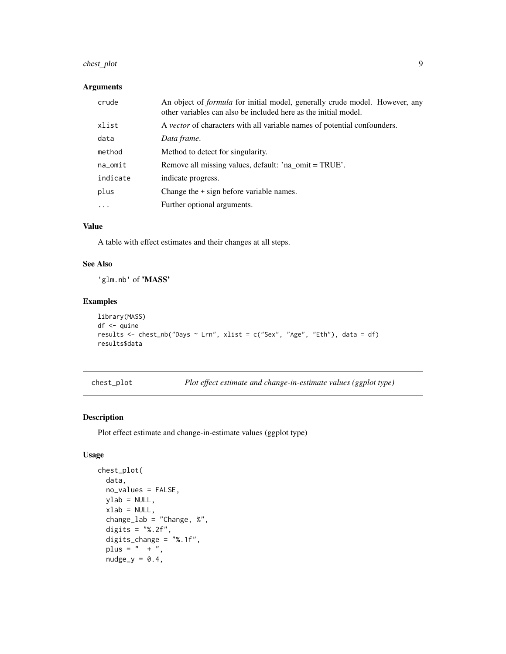# <span id="page-8-0"></span>chest\_plot 9

#### Arguments

| crude      | An object of <i>formula</i> for initial model, generally crude model. However, any<br>other variables can also be included here as the initial model. |
|------------|-------------------------------------------------------------------------------------------------------------------------------------------------------|
| xlist      | A vector of characters with all variable names of potential confounders.                                                                              |
| data       | Data frame.                                                                                                                                           |
| method     | Method to detect for singularity.                                                                                                                     |
| $na\_omit$ | Remove all missing values, default: 'na_omit = TRUE'.                                                                                                 |
| indicate   | indicate progress.                                                                                                                                    |
| plus       | Change the + sign before variable names.                                                                                                              |
| $\cdots$   | Further optional arguments.                                                                                                                           |

#### Value

A table with effect estimates and their changes at all steps.

# See Also

'glm.nb' of 'MASS'

# Examples

```
library(MASS)
df <- quine
results <- chest_nb("Days ~ Lrn", xlist = c("Sex", "Age", "Eth"), data = df)
results$data
```
chest\_plot *Plot effect estimate and change-in-estimate values (ggplot type)*

# Description

Plot effect estimate and change-in-estimate values (ggplot type)

#### Usage

```
chest_plot(
 data,
 no_values = FALSE,
 ylab = NULL,
 xlab = NULL,change_lab = "Change, %",
  digits = "%.2f",
  digits_change = "%.1f",
 plus = " + "nudge_y = 0.4,
```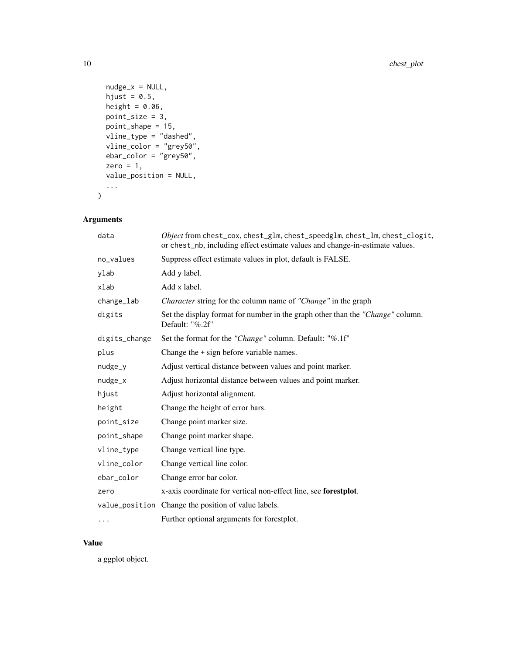```
nudge_x = NULL,hjust = 0.5,
 height = 0.06,
 point_size = 3,
 point_shape = 15,
 vline_type = "dashed",
 vline_color = "grey50",
 ebar\_color = "grey50",zero = 1,value_position = NULL,
  ...
\mathcal{L}
```
# Arguments

| data          | Object from chest_cox, chest_glm, chest_speedglm, chest_lm, chest_clogit,<br>or chest_nb, including effect estimate values and change-in-estimate values. |
|---------------|-----------------------------------------------------------------------------------------------------------------------------------------------------------|
| no_values     | Suppress effect estimate values in plot, default is FALSE.                                                                                                |
| ylab          | Add y label.                                                                                                                                              |
| xlab          | Add x label.                                                                                                                                              |
| change_lab    | <i>Character</i> string for the column name of " <i>Change</i> " in the graph                                                                             |
| digits        | Set the display format for number in the graph other than the "Change" column.<br>Default: "%.2f"                                                         |
| digits_change | Set the format for the "Change" column. Default: "%.1f"                                                                                                   |
| plus          | Change the $+$ sign before variable names.                                                                                                                |
| nudge_y       | Adjust vertical distance between values and point marker.                                                                                                 |
| nudge_x       | Adjust horizontal distance between values and point marker.                                                                                               |
| hjust         | Adjust horizontal alignment.                                                                                                                              |
| height        | Change the height of error bars.                                                                                                                          |
| point_size    | Change point marker size.                                                                                                                                 |
| point_shape   | Change point marker shape.                                                                                                                                |
| vline_type    | Change vertical line type.                                                                                                                                |
| vline_color   | Change vertical line color.                                                                                                                               |
| ebar_color    | Change error bar color.                                                                                                                                   |
| zero          | x-axis coordinate for vertical non-effect line, see forestplot.                                                                                           |
|               | value_position Change the position of value labels.                                                                                                       |
| .             | Further optional arguments for forestplot.                                                                                                                |

# Value

a ggplot object.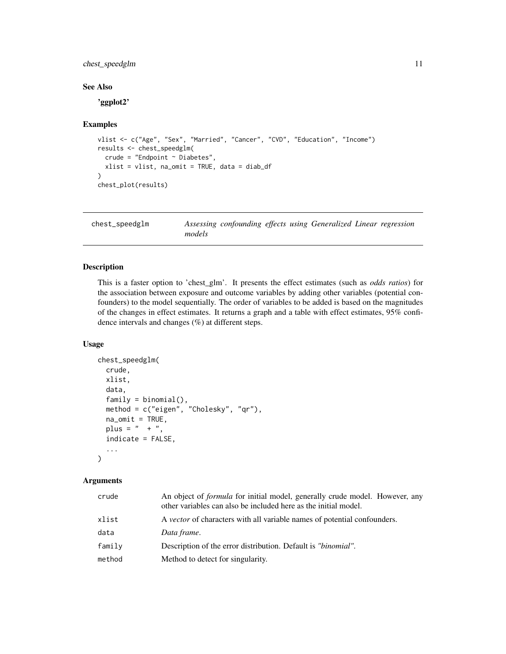# <span id="page-10-0"></span>chest\_speedglm 11

# See Also

'ggplot2'

#### Examples

```
vlist <- c("Age", "Sex", "Married", "Cancer", "CVD", "Education", "Income")
results <- chest_speedglm(
 crude = "Endpoint ~ Diabetes",
 xlist = vlist, na_omit = TRUE, data = diab_df
\lambdachest_plot(results)
```

| chest_speedglm |        | Assessing confounding effects using Generalized Linear regression |  |  |  |
|----------------|--------|-------------------------------------------------------------------|--|--|--|
|                | models |                                                                   |  |  |  |

# Description

This is a faster option to 'chest\_glm'. It presents the effect estimates (such as *odds ratios*) for the association between exposure and outcome variables by adding other variables (potential confounders) to the model sequentially. The order of variables to be added is based on the magnitudes of the changes in effect estimates. It returns a graph and a table with effect estimates, 95% confidence intervals and changes (%) at different steps.

#### Usage

```
chest_speedglm(
  crude,
  xlist,
  data,
  family = binomial(),
  method = c("eigen", "Cholesky", "qr"),
  na\_omit = TRUE,plus = " + ",
  indicate = FALSE,
  ...
)
```
#### Arguments

| crude  | An object of <i>formula</i> for initial model, generally crude model. However, any<br>other variables can also be included here as the initial model. |
|--------|-------------------------------------------------------------------------------------------------------------------------------------------------------|
| xlist  | A <i>vector</i> of characters with all variable names of potential confounders.                                                                       |
| data   | Data frame.                                                                                                                                           |
| family | Description of the error distribution. Default is " <i>binomial</i> ".                                                                                |
| method | Method to detect for singularity.                                                                                                                     |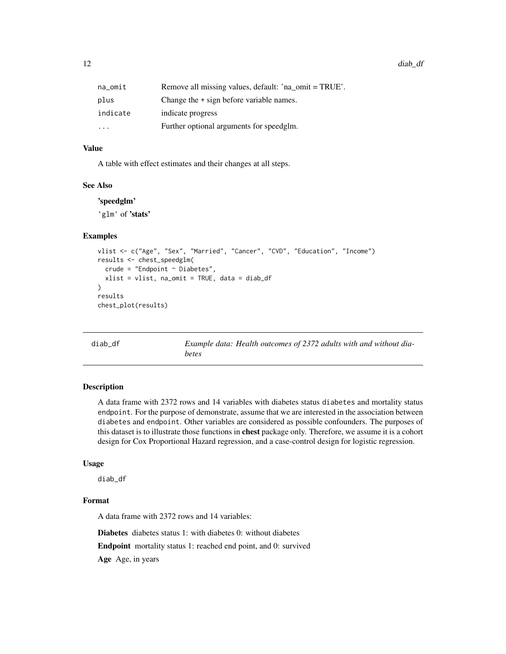<span id="page-11-0"></span>12 diab\_df

| na_omit   | Remove all missing values, default: 'na omit = TRUE'. |
|-----------|-------------------------------------------------------|
| plus      | Change the $+$ sign before variable names.            |
| indicate  | indicate progress                                     |
| $\ddotsc$ | Further optional arguments for speedglm.              |

#### Value

A table with effect estimates and their changes at all steps.

#### See Also

'speedglm'

'glm' of 'stats'

# Examples

```
vlist <- c("Age", "Sex", "Married", "Cancer", "CVD", "Education", "Income")
results <- chest_speedglm(
  crude = "Endpoint \sim Diabetes",
  xlist = vlist, na_omit = TRUE, data = diab_df
)
results
chest_plot(results)
```
diab\_df *Example data: Health outcomes of 2372 adults with and without diabetes*

### Description

A data frame with 2372 rows and 14 variables with diabetes status diabetes and mortality status endpoint. For the purpose of demonstrate, assume that we are interested in the association between diabetes and endpoint. Other variables are considered as possible confounders. The purposes of this dataset is to illustrate those functions in chest package only. Therefore, we assume it is a cohort design for Cox Proportional Hazard regression, and a case-control design for logistic regression.

#### Usage

diab\_df

#### Format

A data frame with 2372 rows and 14 variables:

Diabetes diabetes status 1: with diabetes 0: without diabetes

Endpoint mortality status 1: reached end point, and 0: survived

Age Age, in years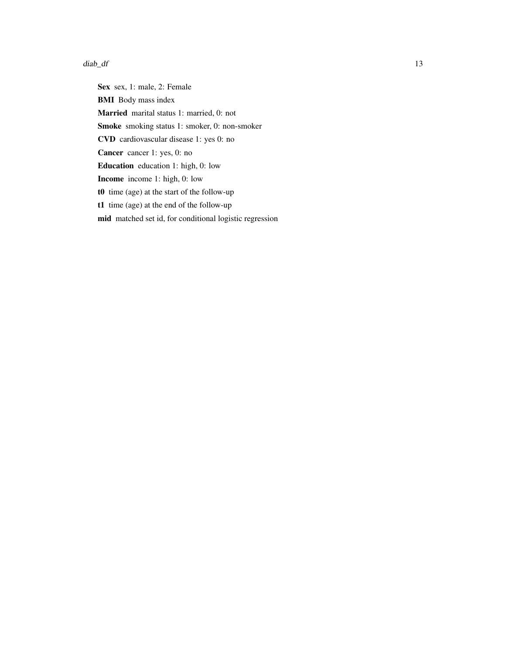#### $diab\_df$  13

Sex sex, 1: male, 2: Female BMI Body mass index Married marital status 1: married, 0: not Smoke smoking status 1: smoker, 0: non-smoker CVD cardiovascular disease 1: yes 0: no Cancer cancer 1: yes, 0: no Education education 1: high, 0: low Income income 1: high, 0: low t0 time (age) at the start of the follow-up t1 time (age) at the end of the follow-up mid matched set id, for conditional logistic regression